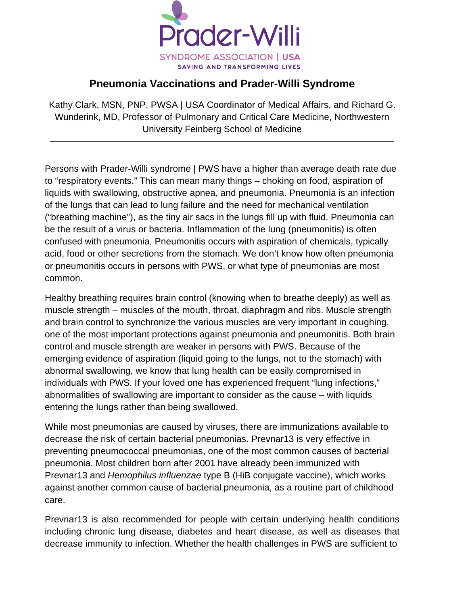

## **Pneumonia Vaccinations and Prader-Willi Syndrome**

Kathy Clark, MSN, PNP, PWSA | USA Coordinator of Medical Affairs, and Richard G. Wunderink, MD, Professor of Pulmonary and Critical Care Medicine, Northwestern University Feinberg School of Medicine \_\_\_\_\_\_\_\_\_\_\_\_\_\_\_\_\_\_\_\_\_\_\_\_\_\_\_\_\_\_\_\_\_\_\_\_\_\_\_\_\_\_\_\_\_\_\_\_\_\_\_\_\_\_\_\_\_\_\_\_\_\_\_\_\_\_\_

Persons with Prader-Willi syndrome | PWS have a higher than average death rate due to "respiratory events." This can mean many things – choking on food, aspiration of liquids with swallowing, obstructive apnea, and pneumonia. Pneumonia is an infection of the lungs that can lead to lung failure and the need for mechanical ventilation ("breathing machine"), as the tiny air sacs in the lungs fill up with fluid. Pneumonia can be the result of a virus or bacteria. Inflammation of the lung (pneumonitis) is often confused with pneumonia. Pneumonitis occurs with aspiration of chemicals, typically acid, food or other secretions from the stomach. We don't know how often pneumonia or pneumonitis occurs in persons with PWS, or what type of pneumonias are most common.

Healthy breathing requires brain control (knowing when to breathe deeply) as well as muscle strength – muscles of the mouth, throat, diaphragm and ribs. Muscle strength and brain control to synchronize the various muscles are very important in coughing, one of the most important protections against pneumonia and pneumonitis. Both brain control and muscle strength are weaker in persons with PWS. Because of the emerging evidence of aspiration (liquid going to the lungs, not to the stomach) with abnormal swallowing, we know that lung health can be easily compromised in individuals with PWS. If your loved one has experienced frequent "lung infections," abnormalities of swallowing are important to consider as the cause – with liquids entering the lungs rather than being swallowed.

While most pneumonias are caused by viruses, there are immunizations available to decrease the risk of certain bacterial pneumonias. Prevnar13 is very effective in preventing pneumococcal pneumonias, one of the most common causes of bacterial pneumonia. Most children born after 2001 have already been immunized with Prevnar13 and *Hemophilus influenzae* type B (HiB conjugate vaccine), which works against another common cause of bacterial pneumonia, as a routine part of childhood care.

Prevnar13 is also recommended for people with certain underlying health conditions including chronic lung disease, diabetes and heart disease, as well as diseases that decrease immunity to infection. Whether the health challenges in PWS are sufficient to